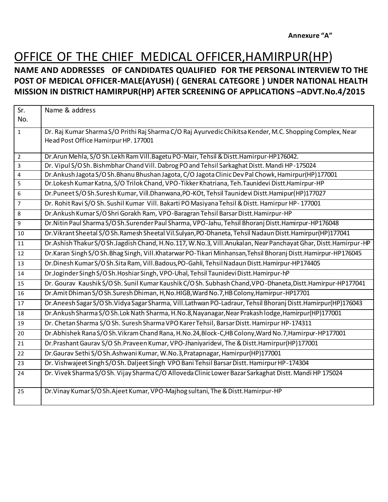#### OFFICE OF THE CHIEF MEDICAL OFFICER,HAMIRPUR(HP) **NAME AND ADDRESSES OF CANDIDATES QUALIFIED FOR THE PERSONAL INTERVIEW TO THE POST OF MEDICAL OFFICER-MALE(AYUSH) ( GENERAL CATEGORE ) UNDER NATIONAL HEALTH MISSION IN DISTRICT HAMIRPUR(HP) AFTER SCREENING OF APPLICATIONS –ADVT.No.4/2015**

| Sr.                     | Name & address                                                                                                       |
|-------------------------|----------------------------------------------------------------------------------------------------------------------|
| No.                     |                                                                                                                      |
| $\mathbf{1}$            | Dr. Raj Kumar Sharma S/O Prithi Raj Sharma C/O Raj Ayurvedic Chikitsa Kender, M.C. Shopping Complex, Near            |
|                         | Head Post Office Hamirpur HP. 177001                                                                                 |
| $\overline{2}$          | Dr. Arun Mehla, S/O Sh. Lekh Ram Vill. Bagetu PO-Mair, Tehsil & Distt. Hamirpur-HP176042.                            |
| 3                       | Dr. Vipul S/OSh. Bishmbhar Chand Vill. Dabrog PO and Tehsil Sarkaghat Distt. Mandi HP-175024                         |
| $\overline{\mathbf{4}}$ | Dr.Ankush Jagota S/O Sh.Bhanu Bhushan Jagota, C/O Jagota Clinic Dev Pal Chowk, Hamirpur(HP)177001                    |
| 5                       | Dr.Lokesh Kumar Katna, S/O Trilok Chand, VPO-Tikker Khatriana, Teh.Taunidevi Distt.Hamirpur-HP                       |
| 6                       | Dr.Puneet S/O Sh.Suresh Kumar, Vill.Dhanwana, PO-KOt, Tehsil Taunidevi Distt.Hamipur(HP)177027                       |
| $\overline{7}$          | Dr. Rohit Ravi S/O Sh. Sushil Kumar Vill. Bakarti PO Masiyana Tehsil & Distt. Hamirpur HP-177001                     |
| 8                       | Dr.Ankush Kumar S/O Shri Gorakh Ram, VPO-Baragran Tehsil Barsar Distt.Hamirpur-HP                                    |
| 9                       | Dr. Nitin Paul Sharma S/O Sh. Surender Paul Sharma, VPO-Jahu, Tehsil Bhoranj Distt. Hamirpur-HP176048                |
| 10                      | Dr. Vikrant Sheetal S/O Sh. Ramesh Sheetal Vil. Sulyan, PO-Dhaneta, Tehsil Nadaun Distt. Hamirpur (HP)177041         |
| 11                      | Dr. Ashish Thakur S/O Sh. Jagdish Chand, H. No.117, W. No.3, Vill. Anukalan, Near Panchayat Ghar, Distt. Hamirpur-HP |
| 12                      | Dr.Karan Singh S/O Sh.Bhag Singh, Vill.Khatarwar PO-Tikari Minhansan, Tehsil Bhoranj Distt.Hamirpur-HP176045         |
| 13                      | Dr. Dinesh Kumar S/O Sh. Sita Ram, Vill. Badous, PO-Gahli, Tehsil Nadaun Distt. Hamirpur-HP174405                    |
| 14                      | Dr.Joginder Singh S/O Sh.Hoshiar Singh, VPO-Uhal, Tehsil Taunidevi Distt.Hamirpur-hP                                 |
| 15                      | Dr. Gourav Kaushik S/O Sh. Sunil Kumar Kaushik C/O Sh. Subhash Chand, VPO-Dhaneta, Distt. Hamirpur-HP177041          |
| 16                      | Dr.Amit Dhiman S/O Sh.Suresh Dhiman, H, No.HIGB, Ward No.7, HB Colony, Hamirpur-HP17701                              |
| 17                      | Dr. Aneesh Sagar S/O Sh. Vidya Sagar Sharma, Vill. Lathwan PO-Ladraur, Tehsil Bhoranj Distt. Hamirpur (HP)176043     |
| 18                      | Dr.Ankush Sharma S/O Sh.Lok Nath Sharma, H.No.8, Nayanagar, Near Prakash lodge, Hamirpur(HP)177001                   |
| 19                      | Dr. Chetan Sharma S/O Sh. Suresh Sharma VPO Karer Tehsil, Barsar Distt. Hamirpur HP-174311                           |
| 20                      | Dr.Abhishek Rana S/O Sh.Vikram Chand Rana, H.No.24, Block-C, HB Colony, Ward No.7, Hamirpur-HP177001                 |
| 21                      | Dr.Prashant Gaurav S/O Sh.Praveen Kumar, VPO-Jhaniyaridevi, The & Distt.Hamirpur(HP)177001                           |
| 22                      | Dr. Gaurav Sethi S/O Sh. Ashwani Kumar, W. No. 3, Pratapnagar, Hamirpur(HP)177001                                    |
| 23                      | Dr. Vishwajeet Singh S/O Sh. Daljeet Singh VPO Bani Tehsil Barsar Distt. Hamirpur HP-174304                          |
| 24                      | Dr. Vivek Sharma S/O Sh. Vijay Sharma C/O Alloveda Clinic Lower Bazar Sarkaghat Distt. Mandi HP 175024               |
| 25                      | Dr. Vinay Kumar S/O Sh. Ajeet Kumar, VPO-Majhog sultani, The & Distt. Hamirpur-HP                                    |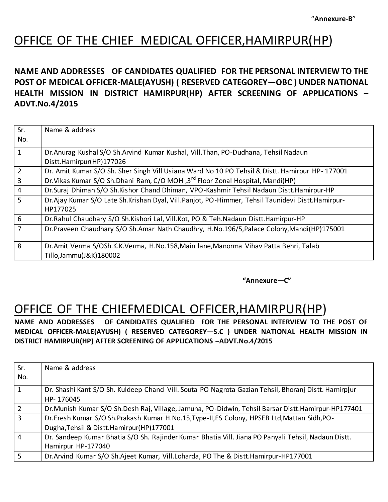### OFFICE OF THE CHIEF MEDICAL OFFICER,HAMIRPUR(HP)

#### **NAME AND ADDRESSES OF CANDIDATES QUALIFIED FOR THE PERSONAL INTERVIEW TO THE POST OF MEDICAL OFFICER-MALE(AYUSH) ( RESERVED CATEGOREY—OBC ) UNDER NATIONAL HEALTH MISSION IN DISTRICT HAMIRPUR(HP) AFTER SCREENING OF APPLICATIONS – ADVT.No.4/2015**

| Sr.            | Name & address                                                                                   |
|----------------|--------------------------------------------------------------------------------------------------|
|                |                                                                                                  |
| No.            |                                                                                                  |
| $\mathbf{1}$   | Dr. Anurag Kushal S/O Sh. Arvind Kumar Kushal, Vill. Than, PO-Dudhana, Tehsil Nadaun             |
|                | Distt.Hamirpur(HP)177026                                                                         |
| $\overline{2}$ | Dr. Amit Kumar S/O Sh. Sher Singh Vill Usiana Ward No 10 PO Tehsil & Distt. Hamirpur HP-177001   |
| $\overline{3}$ | Dr. Vikas Kumar S/O Sh. Dhani Ram, C/O MOH, 3 <sup>rd</sup> Floor Zonal Hospital, Mandi(HP)      |
| $\overline{4}$ | Dr.Suraj Dhiman S/O Sh.Kishor Chand Dhiman, VPO-Kashmir Tehsil Nadaun Distt.Hamirpur-HP          |
| 5              | Dr.Ajay Kumar S/O Late Sh.Krishan Dyal, Vill.Panjot, PO-Himmer, Tehsil Taunidevi Distt.Hamirpur- |
|                | HP177025                                                                                         |
| 6              | Dr.Rahul Chaudhary S/O Sh.Kishori Lal, Vill.Kot, PO & Teh.Nadaun Distt.Hamirpur-HP               |
| 7              | Dr.Praveen Chaudhary S/O Sh.Amar Nath Chaudhry, H.No.196/5, Palace Colony, Mandi(HP)175001       |
|                |                                                                                                  |
| 8              | Dr.Amit Verma S/OSh.K.K.Verma, H.No.158, Main lane, Manorma Vihav Patta Behri, Talab             |
|                | Tillo, Jammu(J&K) 180002                                                                         |

**"Annexure—C"**

### OFFICE OF THE CHIEFMEDICAL OFFICER,HAMIRPUR(HP)

**NAME AND ADDRESSES OF CANDIDATES QUALIFIED FOR THE PERSONAL INTERVIEW TO THE POST OF MEDICAL OFFICER-MALE(AYUSH) ( RESERVED CATEGOREY—S.C ) UNDER NATIONAL HEALTH MISSION IN DISTRICT HAMIRPUR(HP) AFTER SCREENING OF APPLICATIONS –ADVT.No.4/2015**

| Sr.<br>No.     | Name & address                                                                                        |
|----------------|-------------------------------------------------------------------------------------------------------|
|                |                                                                                                       |
| 1              | Dr. Shashi Kant S/O Sh. Kuldeep Chand Vill. Souta PO Nagrota Gazian Tehsil, Bhoranj Distt. Hamirp[ur  |
|                | HP-176045                                                                                             |
| $\overline{2}$ | Dr. Munish Kumar S/O Sh. Desh Raj, Village, Jamuna, PO-Didwin, Tehsil Barsar Distt. Hamirpur-HP177401 |
| 3              | Dr.Eresh Kumar S/O Sh.Prakash Kumar H.No.15, Type-II, ES Colony, HPSEB Ltd, Mattan Sidh, PO-          |
|                | Dugha, Tehsil & Distt. Hamirpur(HP)177001                                                             |
| $\overline{4}$ | Dr. Sandeep Kumar Bhatia S/O Sh. Rajinder Kumar Bhatia Vill. Jiana PO Panyali Tehsil, Nadaun Distt.   |
|                | Hamirpur HP-177040                                                                                    |
| 5              | Dr. Arvind Kumar S/O Sh. Ajeet Kumar, Vill. Loharda, PO The & Distt. Hamirpur-HP177001                |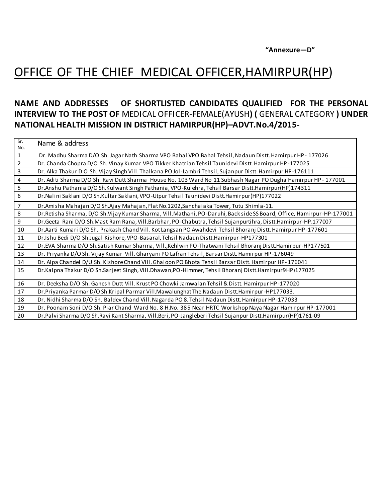**"Annexure—D"**

### OFFICE OF THE CHIEF MEDICAL OFFICER,HAMIRPUR(HP)

#### **NAME AND ADDRESSES OF SHORTLISTED CANDIDATES QUALIFIED FOR THE PERSONAL INTERVIEW TO THE POST OF** MEDICAL OFFICER-FEMALE(AYUSH**) (** GENERAL CATEGORY **) UNDER NATIONAL HEALTH MISSION IN DISTRICT HAMIRPUR(HP)–ADVT.No.4/2015-**

| Sr.<br>No.     | Name & address                                                                                                        |
|----------------|-----------------------------------------------------------------------------------------------------------------------|
| 1              | Dr. Madhu Sharma D/O Sh. Jagar Nath Sharma VPO Bahal VPO Bahal Tehsil, Nadaun Distt. Hamirpur HP - 177026             |
| $\overline{2}$ | Dr. Chanda Chopra D/O Sh. Vinay Kumar VPO Tikker Khatrian Tehsil Taunidevi Distt. Hamirpur HP-177025                  |
| 3              | Dr. Alka Thakur D.O Sh. Vijay Singh Vill. Thalkana PO Jol-Lambri Tehsil, Sujanpur Distt. Hamirpur HP-176111           |
| 4              | Dr. Aditi Sharma D/O Sh. Ravi Dutt Sharma House No. 103 Ward No 11 Subhash Nagar PO Dugha Hamirpur HP - 177001        |
| 5              | Dr.Anshu Pathania D/O Sh.Kulwant Singh Pathania, VPO-Kulehra, Tehsil Barsar Distt.Hamirpur(HP)174311                  |
| 6              | Dr. Nalini Saklani D/O Sh. Kultar Saklani, VPO-Utpur Tehsil Taunidevi Distt. Hamirpur (HP) 177022                     |
| $\overline{7}$ | Dr.Amisha Mahajan D/O Sh.Ajay Mahajan, Flat No.1202, Sanchaiaka Tower, Tutu Shimla-11.                                |
| 8              | Dr.Retisha Sharma, D/O Sh.Vijay Kumar Sharma, Vill.Mathani, PO-Daruhi, Back side SS Board, Office, Hamirpur-HP-177001 |
| 9              | Dr.Geeta Rani D/O Sh.Mast Ram Rana, Vill.Barbhar, PO-Chabutra, Tehsil Sujanpurtihra, Distt.Hamirpur-HP.177007         |
| 10             | Dr.Aarti Kumari D/O Sh. Prakash Chand Vill. Kot Langsan PO Awahdevi Tehsil Bhoranj Distt. Hamirpur HP-177601          |
| 11             | Dr.Ishu Bedi D/O Sh.Jugal Kishore, VPO-Basaral, Tehsil Nadaun Distt.Hamirpur-HP177301                                 |
| 12             | Dr.EVA Sharma D/O Sh.Satish Kumar Sharma, Vill., Kehlwin PO-Thatwani Tehsil Bhoranj Distt. Hamirpur-HP177501          |
| 13             | Dr. Priyanka D/O Sh. Vijay Kumar Vill. Gharyani PO Lafran Tehsil, Barsar Distt. Hamirpur HP-176049                    |
| 14             | Dr. Alpa Chandel D/U Sh. Kishore Chand Vill. Ghaloon PO Bhota Tehsil Barsar Distt. Hamirpur HP-176041                 |
| 15             | Dr.Kalpna Thakur D/O Sh.Sarjeet Singh, Vill.Dhawan, PO-Himmer, Tehsil Bhoranj Distt.Hamirpur9HP)177025                |
| 16             | Dr. Deeksha D/O Sh. Ganesh Dutt Vill. Krust PO Chowki Jamwalan Tehsil & Distt. Hamirpur HP-177020                     |
| 17             | Dr.Priyanka Parmar D/O Sh.Kripal Parmar Vill.Mawalunghat The.Nadaun Distt.Hamirpur-HP177033.                          |
| 18             | Dr. Nidhi Sharma D/O Sh. Baldev Chand Vill. Nagarda PO & Tehsil Nadaun Distt. Hamirpur HP-177033                      |
| 19             | Dr. Poonam Soni D/O Sh. Piar Chand Ward No. 8 H.No. 385 Near HRTC Workshop Naya Nagar Hamirpur HP-177001              |
| 20             | Dr.Palvi Sharma D/O Sh.Ravi Kant Sharma, Vill.Beri, PO-Jangleberi Tehsil Sujanpur Distt.Hamirpur(HP)1761-09           |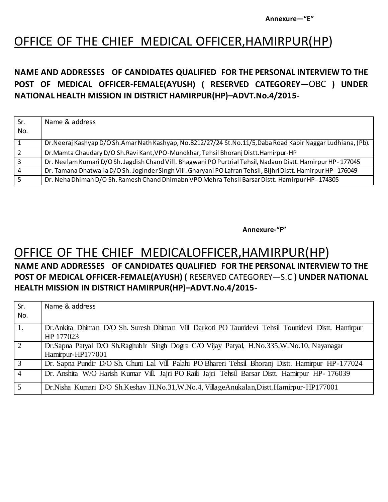**Annexure—"E"**

## OFFICE OF THE CHIEF MEDICAL OFFICER,HAMIRPUR(HP)

#### **NAME AND ADDRESSES OF CANDIDATES QUALIFIED FOR THE PERSONAL INTERVIEW TO THE POST OF MEDICAL OFFICER-FEMALE(AYUSH) ( RESERVED CATEGOREY—**OBC **) UNDER NATIONAL HEALTH MISSION IN DISTRICT HAMIRPUR(HP)–ADVT.No.4/2015-**

| Sr. | Name & address                                                                                                    |
|-----|-------------------------------------------------------------------------------------------------------------------|
| No. |                                                                                                                   |
|     | Dr. Neeraj Kashyap D/O Sh. Amar Nath Kashyap, No. 8212/27/24 St. No. 11/5, Daba Road Kabir Naggar Ludhiana, (Pb). |
|     | Dr. Mamta Chaudary D/O Sh. Ravi Kant, VPO-Mundkhar, Tehsil Bhoranj Distt. Hamirpur-HP                             |
|     | Dr. Neelam Kumari D/O Sh. Jagdish Chand Vill. Bhagwani PO Purtrial Tehsil, Nadaun Distt. Hamirpur HP-177045       |
|     | Dr. Tamana Dhatwalia D/OSh. Joginder Singh Vill. Gharyani PO Lafran Tehsil, Bijhri Distt. Hamirpur HP - 176049    |
|     | Dr. Neha Dhiman D/O Sh. Ramesh Chand Dhimabn VPO Mehra Tehsil Barsar Distt. Hamirpur HP-174305                    |

**Annexure-"F"**

### OFFICE OF THE CHIEF MEDICALOFFICER,HAMIRPUR(HP)

#### **NAME AND ADDRESSES OF CANDIDATES QUALIFIED FOR THE PERSONAL INTERVIEW TO THE POST OF MEDICAL OFFICER-FEMALE(AYUSH) (** RESERVED CATEGOREY—S.C **) UNDER NATIONAL HEALTH MISSION IN DISTRICT HAMIRPUR(HP)–ADVT.No.4/2015-**

| Sr.<br>No.     | Name & address                                                                                     |
|----------------|----------------------------------------------------------------------------------------------------|
| 1.             | Dr. Ankita Dhiman D/O Sh. Suresh Dhiman Vill Darkoti PO Taunidevi Tehsil Tounidevi Distt. Hamirpur |
|                | HP 177023                                                                                          |
| $\overline{2}$ | Dr.Sapna Patyal D/O Sh.Raghubir Singh Dogra C/O Vijay Patyal, H.No.335,W.No.10, Nayanagar          |
|                | Hamirpur-HP177001                                                                                  |
| $\overline{3}$ | Dr. Sapna Pundir D/O Sh. Chuni Lal Vill Palahi PO Bhareri Tehsil Bhoranj Distt. Hamirpur HP-177024 |
| $\overline{4}$ | Dr. Anshita W/O Harish Kumar Vill. Jajri PO Raili Jajri Tehsil Barsar Distt. Hamirpur HP- 176039   |
| $\overline{5}$ | Dr. Nisha Kumari D/O Sh. Keshav H. No. 31, W. No. 4, Village Anukalan, Distt. Hamirpur-HP177001    |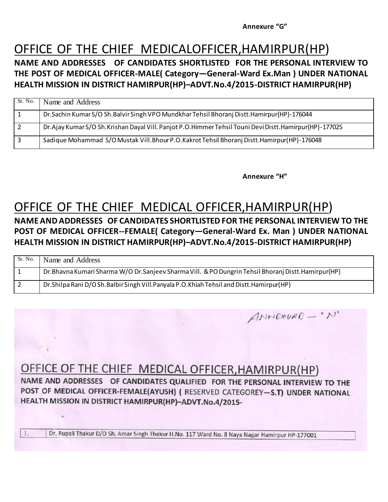**Annexure "G"**

### OFFICE OF THE CHIEF MEDICALOFFICER,HAMIRPUR(HP)

**NAME AND ADDRESSES OF CANDIDATES SHORTLISTED FOR THE PERSONAL INTERVIEW TO THE POST OF MEDICAL OFFICER-MALE( Category—General-Ward Ex.Man ) UNDER NATIONAL HEALTH MISSION IN DISTRICT HAMIRPUR(HP)–ADVT.No.4/2015-DISTRICT HAMIRPUR(HP)**

| Sr. No. | Name and Address                                                                                       |
|---------|--------------------------------------------------------------------------------------------------------|
|         | Dr. Sachin Kumar S/O Sh. Balvir Singh VPO Mundkhar Tehsil Bhoranj Distt. Hamirpur(HP)-176044           |
|         | Dr.Ajay Kumar S/O Sh.Krishan Dayal Vill. Panjot P.O.Himmer Tehsil Touni Devi Distt.Hamirpur(HP)-177025 |
|         | Sadique Mohammad S/O Mustak Vill.Bhour P.O.Kakrot Tehsil Bhoranj Distt.Hamirpur(HP)-176048             |

**Annexure "H"**

ANNEXURE - "N"

## OFFICE OF THE CHIEF MEDICAL OFFICER,HAMIRPUR(HP)

#### **NAME AND ADDRESSES OF CANDIDATES SHORTLISTED FOR THE PERSONAL INTERVIEW TO THE POST OF MEDICAL OFFICER--FEMALE( Category—General-Ward Ex. Man ) UNDER NATIONAL HEALTH MISSION IN DISTRICT HAMIRPUR(HP)–ADVT.No.4/2015-DISTRICT HAMIRPUR(HP)**

| Sr. No. | Name and Address                                                                                       |
|---------|--------------------------------------------------------------------------------------------------------|
|         | Dr. Bhavna Kumari Sharma W/O Dr. Sanjeev Sharma Vill. & PO Dungrin Tehsil Bhoranj Distt. Hamirpur (HP) |
|         | Dr. Shilpa Rani D/O Sh. Balbir Singh Vill. Panyala P.O. Khiah Tehsil and Distt. Hamirpur (HP)          |

### OFFICE OF THE CHIEF MEDICAL OFFICER, HAMIRPUR(HP)

NAME AND ADDRESSES OF CANDIDATES QUALIFIED FOR THE PERSONAL INTERVIEW TO THE POST OF MEDICAL OFFICER-FEMALE(AYUSH) (RESERVED CATEGOREY-S.T) UNDER NATIONAL HEALTH MISSION IN DISTRICT HAMIRPUR(HP)-ADVT.No.4/2015-

Dr. Rupali Thakur D/O Sh. Amar Singh Thakur H.No. 117 Ward No. 8 Naya Nagar Hamirpur HP-177001

1.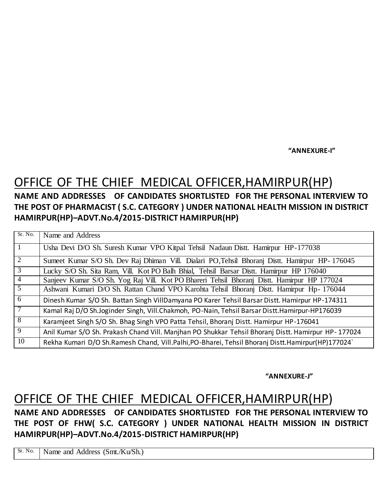**"ANNEXURE-I"**

# OFFICE OF THE CHIEF MEDICAL OFFICER,HAMIRPUR(HP)

#### **NAME AND ADDRESSES OF CANDIDATES SHORTLISTED FOR THE PERSONAL INTERVIEW TO THE POST OF PHARMACIST ( S.C. CATEGORY ) UNDER NATIONAL HEALTH MISSION IN DISTRICT HAMIRPUR(HP)–ADVT.No.4/2015-DISTRICT HAMIRPUR(HP)**

| Sr. No.        | Name and Address                                                                                   |
|----------------|----------------------------------------------------------------------------------------------------|
|                | Usha Devi D/O Sh. Suresh Kumar VPO Kitpal Tehsil Nadaun Distt. Hamirpur HP-177038                  |
| 2              | Sumeet Kumar S/O Sh. Dev Raj Dhiman Vill. Dialari PO, Tehsil Bhoranj Distt. Hamirpur HP-176045     |
| $\overline{3}$ | Lucky S/O Sh. Sita Ram, Vill. Kot PO Balh Bhial, Tehsil Barsar Distt. Hamirpur HP 176040           |
| $\overline{4}$ | Sanjeev Kumar S/O Sh. Yog Raj Vill. Kot PO Bhareri Tehsil Bhoranj Distt. Hamirpur HP 177024        |
| $\overline{5}$ | Ashwani Kumari D/O Sh. Rattan Chand VPO Karohta Tehsil Bhoranj Distt. Hamirpur Hp-176044           |
| $\overline{6}$ | Dinesh Kumar S/O Sh. Battan Singh VillDamyana PO Karer Tehsil Barsar Distt. Hamirpur HP-174311     |
|                | Kamal Raj D/O Sh.Joginder Singh, Vill.Chakmoh, PO-Nain, Tehsil Barsar Distt.Hamirpur-HP176039      |
| $\overline{8}$ | Karamjeet Singh S/O Sh. Bhag Singh VPO Patta Tehsil, Bhoranj Distt. Hamirpur HP-176041             |
| 9              | Anil Kumar S/O Sh. Prakash Chand Vill. Manjhan PO Shukkar Tehsil Bhoranj Distt. Hamirpur HP-177024 |
| 10             | Rekha Kumari D/O Sh.Ramesh Chand, Vill.Palhi, PO-Bharei, Tehsil Bhoranj Distt.Hamirpur(HP)177024   |

**"ANNEXURE-J"**

### OFFICE OF THE CHIEF MEDICAL OFFICER,HAMIRPUR(HP)

**NAME AND ADDRESSES OF CANDIDATES SHORTLISTED FOR THE PERSONAL INTERVIEW TO THE POST OF FHW( S.C. CATEGORY ) UNDER NATIONAL HEALTH MISSION IN DISTRICT HAMIRPUR(HP)–ADVT.No.4/2015-DISTRICT HAMIRPUR(HP)**

Sr. No. | Name and Address (Smt./Ku/Sh.)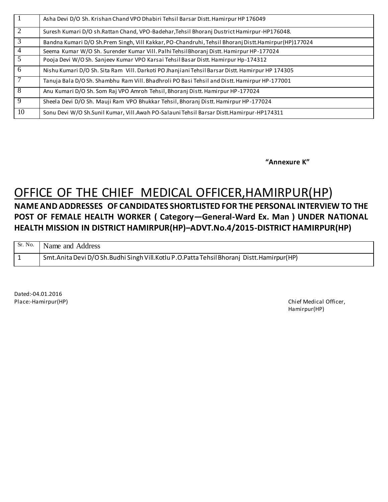| 1  | Asha Devi D/O Sh. Krishan Chand VPO Dhabiri Tehsil Barsar Distt. Hamirpur HP 176049                 |
|----|-----------------------------------------------------------------------------------------------------|
| 2  | Suresh Kumari D/O sh.Rattan Chand, VPO-Badehar, Tehsil Bhoranj Dustrict Hamirpur-HP176048.          |
| 3  | Bandna Kumari D/O Sh.Prem Singh, Vill Kakkar, PO-Chandruhi, Tehsil Bhoranj Distt.Hamirpur(HP)177024 |
| 4  | Seema Kumar W/O Sh. Surender Kumar Vill. Palhi Tehsil Bhoranj Distt. Hamirpur HP-177024             |
| 5  | Pooja Devi W/O Sh. Sanjeev Kumar VPO Karsai Tehsil Basar Distt. Hamirpur Hp-174312                  |
| 6  | Nishu Kumari D/O Sh. Sita Ram Vill. Darkoti PO Jhanjiani Tehsil Barsar Distt. Hamirpur HP 174305    |
|    | Tanuja Bala D/O Sh. Shambhu Ram Vill. Bhadhroli PO Basi Tehsil and Distt. Hamirpur HP-177001        |
| 8  | Anu Kumari D/O Sh. Som Raj VPO Amroh Tehsil, Bhoranj Distt. Hamirpur HP-177024                      |
| 9  | Sheela Devi D/O Sh. Mauji Ram VPO Bhukkar Tehsil, Bhoranj Distt. Hamirpur HP-177024                 |
| 10 | Sonu Devi W/O Sh.Sunil Kumar, Vill.Awah PO-Salauni Tehsil Barsar Distt.Hamirpur-HP174311            |

**"Annexure K"**

# OFFICE OF THE CHIEF MEDICAL OFFICER,HAMIRPUR(HP)

#### **NAME AND ADDRESSES OF CANDIDATES SHORTLISTED FOR THE PERSONAL INTERVIEW TO THE POST OF FEMALE HEALTH WORKER ( Category—General-Ward Ex. Man ) UNDER NATIONAL HEALTH MISSION IN DISTRICT HAMIRPUR(HP)–ADVT.No.4/2015-DISTRICT HAMIRPUR(HP)**

| Sr. No. Name and Address                                                                        |
|-------------------------------------------------------------------------------------------------|
| Smt. Anita Devi D/O Sh. Budhi Singh Vill. Kotlu P. O. Patta Tehsil Bhoranj Distt. Hamirpur (HP) |

Dated:-04.01.2016

Place:-Hamirpur(HP) **Chief Medical Officer,** Chief Medical Officer, Chief Medical Officer, Hamirpur(HP)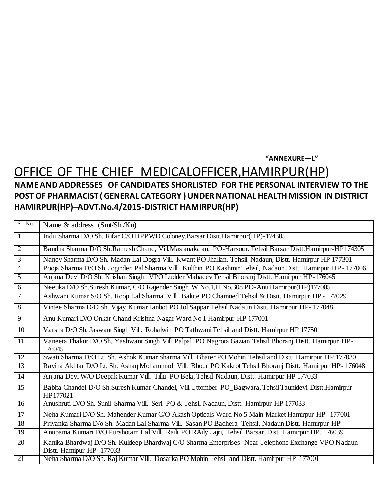#### **"ANNEXURE—L"**

### OFFICE OF THE CHIEF MEDICALOFFICER,HAMIRPUR(HP) **NAME AND ADDRESSES OF CANDIDATES SHORLISTED FOR THE PERSONAL INTERVIEW TO THE**

### **POST OF PHARMACIST ( GENERAL CATEGORY ) UNDER NATIONAL HEALTH MISSION IN DISTRICT HAMIRPUR(HP)–ADVT.No.4/2015-DISTRICT HAMIRPUR(HP)**

| Sr. No.         | Name & address (Smt/Sh./Ku)                                                                                        |
|-----------------|--------------------------------------------------------------------------------------------------------------------|
| $\mathbf{1}$    | Indu Sharma D/O Sh. Rifar C/O HPPWD Coloney, Barsar Distt. Hamirpur(HP)-174305                                     |
| $\overline{2}$  | Bandna Sharma D/O Sh.Ramesh Chand, Vill.Maslanakalan, PO-Harsour, Tehsil Barsar Distt.Hamirpur-HP174305            |
| $\overline{3}$  | Nancy Sharma D/O Sh. Madan Lal Dogra Vill. Kwant PO Jhallan, Tehsil Nadaun, Distt. Hamirpur HP 177301              |
| $\overline{4}$  | Pooja Sharma D/O Sh. Joginder Pal Sharma Vill. Kulthin PO Kashmir Tehsil, Nadaun Distt. Hamirpur HP-177006         |
| $\overline{5}$  | Anjana Devi D/O Sh. Krishan Singh VPO Ludder Mahadev Tehsil Bhoranj Distt. Hamirpur HP-176045                      |
| 6               | Neetika D/O Sh.Suresh Kumar, C/O Rajender Singh W.No.1, H.No.308, PO-Anu Hamirpur(HP)177005                        |
| $\overline{7}$  | Ashwani Kumar S/O Sh. Roop Lal Sharma Vill. Balute PO Chamned Tehsil & Distt. Hamirpur HP - 177029                 |
| $\overline{8}$  | Vintee Sharma D/O Sh. Vijay Kumar Ianbot PO Jol Sappar Tehsil Nadaun Distt. Hamirpur HP-177048                     |
| $\overline{9}$  | Anu Kumari D/O Onkar Chand Krishna Nagar Ward No 1 Hamirpur HP 177001                                              |
| $\overline{10}$ | Varsha D/O Sh. Jaswant Singh Vill. Rohalwin PO Tathwani Tehsil and Distt. Hamirpur HP 177501                       |
| 11              | Vaneeta Thakur D/O Sh. Yashwant Singh Vill Palpal PO Nagrota Gazian Tehsil Bhoranj Distt. Hamirpur HP-<br>176045   |
| 12              | Swati Sharma D/O Lt. Sh. Ashok Kumar Sharma Vill. Bhater PO Mohin Tehsil and Distt. Hamirpur HP 177030             |
| 13              | Ravina Akhtar D/O Lt. Sh. Ashaq Mohammad Vill. Bhour PO Kakrot Tehsil Bhoranj Distt. Hamirpur HP-176048            |
| 14              | Anjana Devi W/O Deepak Kumar Vill. Tillu PO Bela, Tehsil Nadaun, Distt. Hamirpur HP 177033                         |
| $\overline{15}$ | Babita Chandel D/O Sh.Suresh Kumar Chandel, Vill.Uttomber PO_Bagwara, Tehsil Taunidevi Distt.Hamirpur-<br>HP177021 |
| 16              | Anushruti D/O Sh. Sunil Sharma Vill. Seri PO & Tehsil Nadaun, Distt. Hamirpur HP 177033                            |
| 17              | Neha Kumari D/O Sh. Mahender Kumar C/O Akash Opticals Ward No 5 Main Market Hamirpur HP - 177001                   |
| 18              | Priyanka Sharma D/o Sh. Madan Lal Sharma Vill. Sasan PO Badhera Tehsil, Nadaun Distt. Hamirpur HP-                 |
| $\overline{19}$ | Anupama Kumari D/O Purshotam Lal Vill. Raili PO RAily Jajri, Tehsil Barsar, Dist. Hamirpur HP. 176039              |
| 20              | Kanika Bhardwaj D/O Sh. Kuldeep Bhardwaj C/O Sharma Enterprises Near Telephone Exchange VPO Nadaun                 |
|                 | Distt. Hamipur HP-177033                                                                                           |
| 21              | Neha Sharma D/O Sh. Raj Kumar Vill. Dosarka PO Mohin Tehsil and Distt. Hamirpur HP-177001                          |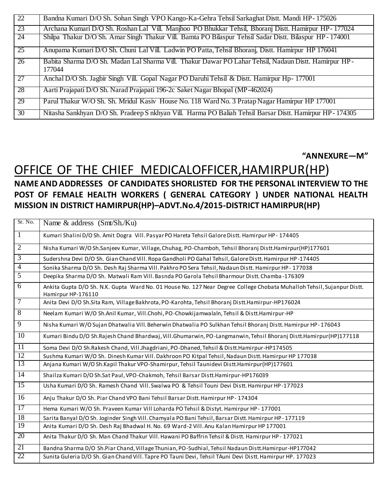| $\overline{22}$ | Bandna Kumari D/O Sh. Sohan Singh VPO Kango-Ka-Gehra Tehsil Sarkaghat Distt. Mandi HP-175026                    |
|-----------------|-----------------------------------------------------------------------------------------------------------------|
| 23              | Archana Kumari D/O Sh. Roshan Lal Vill. Manjhoo PO Bhukkar Tehsil, Bhoranj Distt. Hamirpur HP-177024            |
| 24              | Shilpa Thakur D/O Sh. Amar Singh Thakur Vill. Bamta PO Bilaspur Tehsil Sadar Distt. Bilaspur HP - 174001        |
| 25              | Anupama Kumari D/O Sh. Chuni Lal Vill. Ladwin PO Patta, Tehsil Bhoranj, Distt. Hamirpur HP 176041               |
| 26              | Babita Sharma D/O Sh. Madan Lal Sharma Vill. Thakur Dawar PO Lahar Tehsil, Nadaun Distt. Hamirpur HP-<br>177044 |
| 27              | Anchal D/O Sh. Jagbir Singh Vill. Gopal Nagar PO Daruhi Tehsil & Distt. Hamirpur Hp-177001                      |
| 28              | Aarti Prajapati D/O Sh. Narad Prajapati 196-2c Saket Nagar Bhopal (MP-462024)                                   |
| 29              | Parul Thakur W/O Sh. Sh. Mridul Kasiv House No. 118 Ward No. 3 Pratap Nagar Hamirpur HP 177001                  |
| 30 <sup>2</sup> | Nitasha Sankhyan D/O Sh. Pradeep S nkhyan Vill. Harma PO Baliah Tehsil Barsar Distt. Hamirpur HP-174305         |

**"ANNEXURE—M"**

#### OFFICE OF THE CHIEF MEDICALOFFICER,HAMIRPUR(HP) **NAME AND ADDRESSES OF CANDIDATES SHORLISTED FOR THE PERSONAL INTERVIEW TO THE POST OF FEMALE HEALTH WORKERS ( GENERAL CATEGORY ) UNDER NATIONAL HEALTH**

### **MISSION IN DISTRICT HAMIRPUR(HP)–ADVT.No.4/2015-DISTRICT HAMIRPUR(HP)**

| Sr. No.         | Name & address (Smt/Sh./Ku)                                                                                                                  |
|-----------------|----------------------------------------------------------------------------------------------------------------------------------------------|
| $\overline{1}$  | Kumari Shalini D/O Sh. Amit Dogra Vill. Pasyar PO Hareta Tehsil Galore Distt. Hamirpur HP - 174405                                           |
| $\overline{2}$  | Nisha Kumari W/O Sh.Sanjeev Kumar, Village, Chuhag, PO-Chamboh, Tehsil Bhoranj Distt.Hamirpur(HP)177601                                      |
| $\overline{3}$  | Sudershna Devi D/O Sh. Gian Chand Vill. Ropa Gandholi PO Gahal Tehsil, Galore Distt. Hamirpur HP-174405                                      |
| $\overline{4}$  | Sonika Sharma D/O Sh. Desh Raj Sharma Vill. Pakhro PO Sera Tehsil, Nadaun Distt. Hamirpur HP - 177038                                        |
| $\overline{5}$  | Deepika Sharma D/O Sh. Matwali Ram Vill. Basnda PO Garola Tehsil Bharmour Distt. Chamba-176309                                               |
| $\overline{6}$  | Ankita Gupta D/O Sh. N.K. Gupta Ward No. 01 House No. 127 Near Degree College Chobata Muhalloh Tehsil, Sujanpur Distt.<br>Hamirpur HP-176110 |
| $\overline{7}$  | Anita Devi D/O Sh.Sita Ram, Village Bakhrota, PO-Karohta, Tehsil Bhoranj Distt.Hamirpur-HP176024                                             |
| $\overline{8}$  | Neelam Kumari W/O Sh.Anil Kumar, Vill.Chohi, PO-Chowkijamwalaln, Tehsil & Distt.Hamirpur-HP                                                  |
| $\overline{9}$  | Nisha Kumari W/O Sujan Dhatwalia Vill. Beherwin Dhatwalia PO Sulkhan Tehsil Bhoranj Distt. Hamirpur HP-176043                                |
| $\overline{10}$ | Kumari Bindu D/O Sh.Rajesh Chand Bhardwaj, Vill.Ghumarwin, PO-Langmanwin, Tehsil Bhoranj Distt.Hamirpur(HP)177118                            |
| 11              | Soma Devi D/O Sh.Rakesh Chand, Vill.Jhagdriani, PO-Dhaned, Tehsil & Distt.Hamirpur-HP174505                                                  |
| 12              | Sushma Kumari W/O Sh. Dinesh Kumar Vill. Dakhroon PO Kitpal Tehsil, Nadaun Distt. Hamirpur HP 177038                                         |
| 13              | Anjana Kumari W/O Sh.Kapil Thakur VPO-Shamirpur, Tehsil Taunidevi Distt.Hamirpur(HP)177601                                                   |
| 14              | Shailza Kumari D/O Sh.Sat Paul, VPO-Chakmoh, Tehsil Barsar Distt.Hamirpur-HP176039                                                           |
| 15              | Usha Kumari D/O Sh. Ramesh Chand Vill. Swalwa PO & Tehsil Touni Devi Distt. Hamirpur HP-177023                                               |
| 16              | Anju Thakur D/O Sh. Piar Chand VPO Bani Tehsil Barsar Distt. Hamirpur HP-174304                                                              |
| 17              | Hema Kumari W/O Sh. Praveen Kumar Vill Loharda PO Tehsil & Distyt. Hamirpur HP-177001                                                        |
| $\overline{18}$ | Sarita Banyal D/O Sh. Joginder Singh Vill. Chamyala PO Bani Tehsil, Barsar Distt. Hamirpur HP-177119                                         |
| $\overline{19}$ | Anita Kumari D/O Sh. Desh Raj Bhadwal H. No. 69 Ward-2 Vill. Anu Kalan Hamirpur HP 177001                                                    |
| 20              | Anita Thakur D/O Sh. Man Chand Thakur Vill. Hawani PO Baffrin Tehsil & Distt. Hamirpur HP-177021                                             |
| 21              | Bandna Sharma D/O Sh.Piar Chand, Village Thunian, PO-Sudhial, Tehsil Nadaun Distt.Hamirpur-HP177042                                          |
| 22              | Sunita Guleria D/O Sh. Gian Chand Vill. Tapre PO Tauni Devi, Tehsil TAuni Devi Distt. Hamirpur HP. 177023                                    |